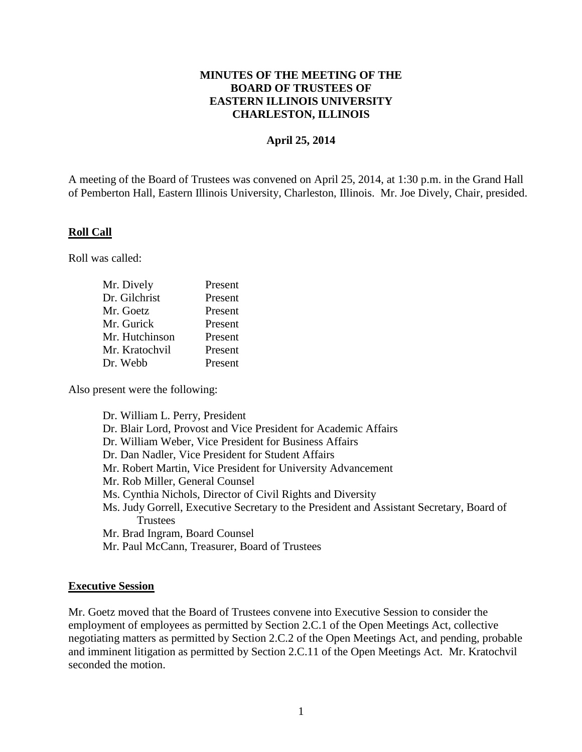## **MINUTES OF THE MEETING OF THE BOARD OF TRUSTEES OF EASTERN ILLINOIS UNIVERSITY CHARLESTON, ILLINOIS**

#### **April 25, 2014**

A meeting of the Board of Trustees was convened on April 25, 2014, at 1:30 p.m. in the Grand Hall of Pemberton Hall, Eastern Illinois University, Charleston, Illinois. Mr. Joe Dively, Chair, presided.

#### **Roll Call**

Roll was called:

| Mr. Dively     | Present |
|----------------|---------|
| Dr. Gilchrist  | Present |
| Mr. Goetz      | Present |
| Mr. Gurick     | Present |
| Mr. Hutchinson | Present |
| Mr. Kratochvil | Present |
| Dr. Webb       | Present |

Also present were the following:

Dr. William L. Perry, President Dr. Blair Lord, Provost and Vice President for Academic Affairs Dr. William Weber, Vice President for Business Affairs Dr. Dan Nadler, Vice President for Student Affairs Mr. Robert Martin, Vice President for University Advancement Mr. Rob Miller, General Counsel Ms. Cynthia Nichols, Director of Civil Rights and Diversity Ms. Judy Gorrell, Executive Secretary to the President and Assistant Secretary, Board of **Trustees** Mr. Brad Ingram, Board Counsel Mr. Paul McCann, Treasurer, Board of Trustees

#### **Executive Session**

Mr. Goetz moved that the Board of Trustees convene into Executive Session to consider the employment of employees as permitted by Section 2.C.1 of the Open Meetings Act, collective negotiating matters as permitted by Section 2.C.2 of the Open Meetings Act, and pending, probable and imminent litigation as permitted by Section 2.C.11 of the Open Meetings Act. Mr. Kratochvil seconded the motion.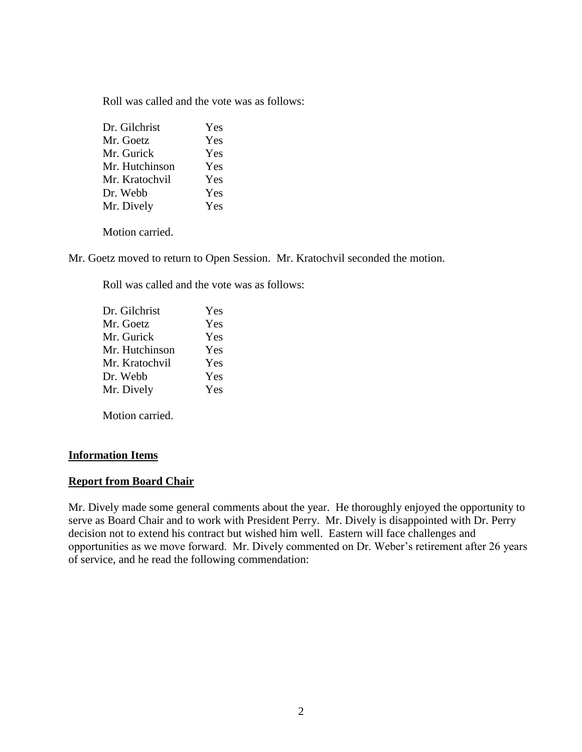Roll was called and the vote was as follows:

| Dr. Gilchrist  | Yes |
|----------------|-----|
| Mr. Goetz      | Yes |
| Mr. Gurick     | Yes |
| Mr. Hutchinson | Yes |
| Mr. Kratochvil | Yes |
| Dr. Webb       | Yes |
| Mr. Dively     | Yes |
|                |     |

Motion carried.

Mr. Goetz moved to return to Open Session. Mr. Kratochvil seconded the motion.

Roll was called and the vote was as follows:

Motion carried.

## **Information Items**

#### **Report from Board Chair**

Mr. Dively made some general comments about the year. He thoroughly enjoyed the opportunity to serve as Board Chair and to work with President Perry. Mr. Dively is disappointed with Dr. Perry decision not to extend his contract but wished him well. Eastern will face challenges and opportunities as we move forward. Mr. Dively commented on Dr. Weber's retirement after 26 years of service, and he read the following commendation: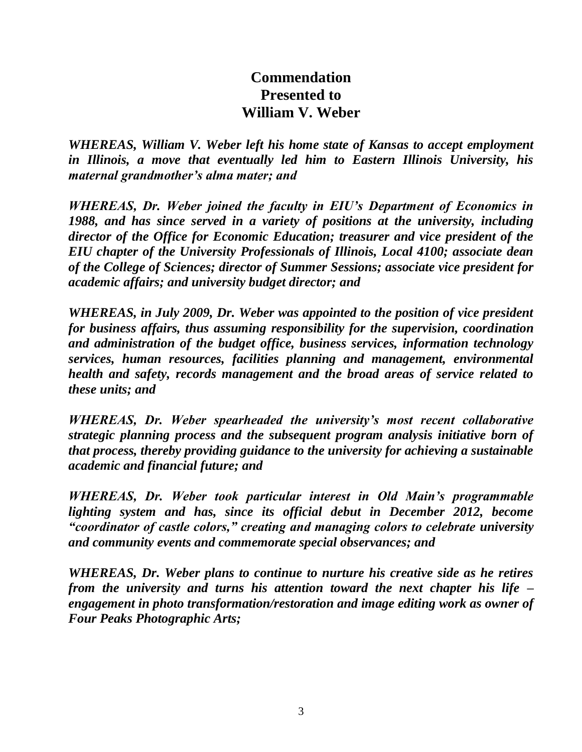# **Commendation Presented to William V. Weber**

*WHEREAS, William V. Weber left his home state of Kansas to accept employment in Illinois, a move that eventually led him to Eastern Illinois University, his maternal grandmother's alma mater; and*

*WHEREAS, Dr. Weber joined the faculty in EIU's Department of Economics in 1988, and has since served in a variety of positions at the university, including director of the Office for Economic Education; treasurer and vice president of the EIU chapter of the University Professionals of Illinois, Local 4100; associate dean of the College of Sciences; director of Summer Sessions; associate vice president for academic affairs; and university budget director; and*

*WHEREAS, in July 2009, Dr. Weber was appointed to the position of vice president for business affairs, thus assuming responsibility for the supervision, coordination and administration of the budget office, business services, information technology services, human resources, facilities planning and management, environmental health and safety, records management and the broad areas of service related to these units; and* 

*WHEREAS, Dr. Weber spearheaded the university's most recent collaborative strategic planning process and the subsequent program analysis initiative born of that process, thereby providing guidance to the university for achieving a sustainable academic and financial future; and*

*WHEREAS, Dr. Weber took particular interest in Old Main's programmable lighting system and has, since its official debut in December 2012, become "coordinator of castle colors," creating and managing colors to celebrate university and community events and commemorate special observances; and* 

*WHEREAS, Dr. Weber plans to continue to nurture his creative side as he retires from the university and turns his attention toward the next chapter his life – engagement in photo transformation/restoration and image editing work as owner of Four Peaks Photographic Arts;*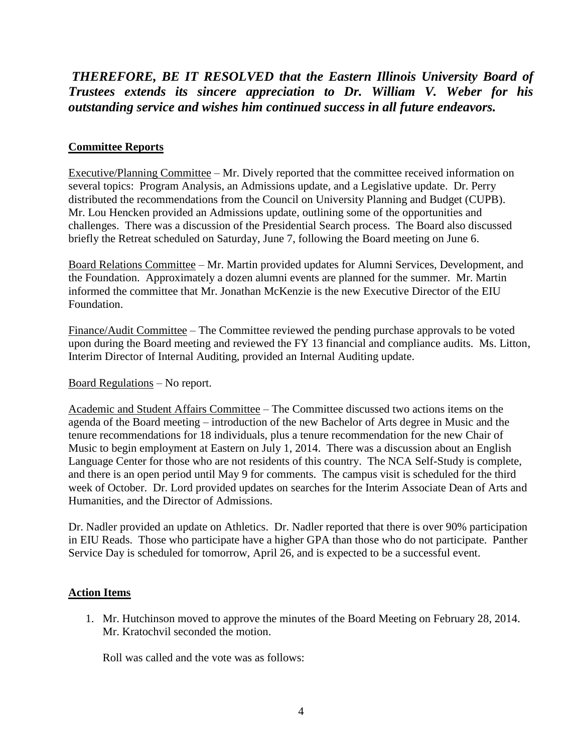## *THEREFORE, BE IT RESOLVED that the Eastern Illinois University Board of Trustees extends its sincere appreciation to Dr. William V. Weber for his outstanding service and wishes him continued success in all future endeavors.*

## **Committee Reports**

Executive/Planning Committee – Mr. Dively reported that the committee received information on several topics: Program Analysis, an Admissions update, and a Legislative update. Dr. Perry distributed the recommendations from the Council on University Planning and Budget (CUPB). Mr. Lou Hencken provided an Admissions update, outlining some of the opportunities and challenges. There was a discussion of the Presidential Search process. The Board also discussed briefly the Retreat scheduled on Saturday, June 7, following the Board meeting on June 6.

Board Relations Committee – Mr. Martin provided updates for Alumni Services, Development, and the Foundation. Approximately a dozen alumni events are planned for the summer. Mr. Martin informed the committee that Mr. Jonathan McKenzie is the new Executive Director of the EIU Foundation.

Finance/Audit Committee – The Committee reviewed the pending purchase approvals to be voted upon during the Board meeting and reviewed the FY 13 financial and compliance audits. Ms. Litton, Interim Director of Internal Auditing, provided an Internal Auditing update.

#### Board Regulations – No report.

Academic and Student Affairs Committee – The Committee discussed two actions items on the agenda of the Board meeting – introduction of the new Bachelor of Arts degree in Music and the tenure recommendations for 18 individuals, plus a tenure recommendation for the new Chair of Music to begin employment at Eastern on July 1, 2014. There was a discussion about an English Language Center for those who are not residents of this country. The NCA Self-Study is complete, and there is an open period until May 9 for comments. The campus visit is scheduled for the third week of October. Dr. Lord provided updates on searches for the Interim Associate Dean of Arts and Humanities, and the Director of Admissions.

Dr. Nadler provided an update on Athletics. Dr. Nadler reported that there is over 90% participation in EIU Reads. Those who participate have a higher GPA than those who do not participate. Panther Service Day is scheduled for tomorrow, April 26, and is expected to be a successful event.

#### **Action Items**

1. Mr. Hutchinson moved to approve the minutes of the Board Meeting on February 28, 2014. Mr. Kratochvil seconded the motion.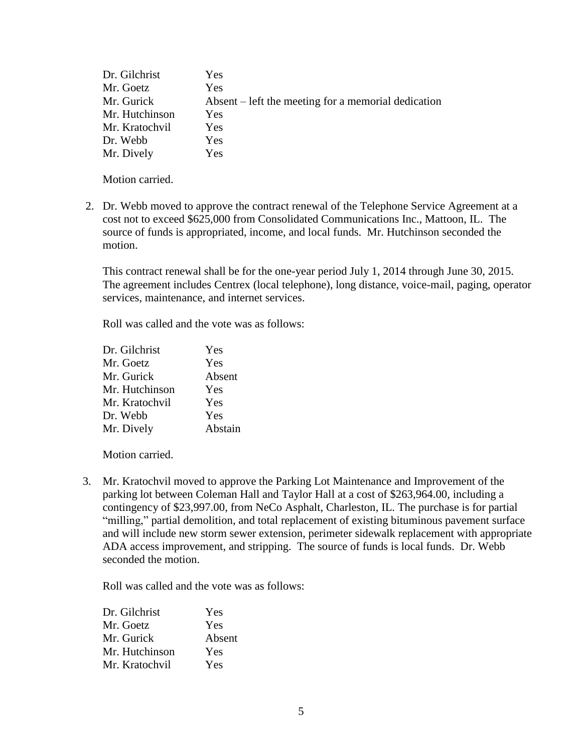| Dr. Gilchrist  | Yes                                                 |
|----------------|-----------------------------------------------------|
| Mr. Goetz      | Yes                                                 |
| Mr. Gurick     | Absent – left the meeting for a memorial dedication |
| Mr. Hutchinson | Yes                                                 |
| Mr. Kratochvil | Yes                                                 |
| Dr. Webb       | Yes                                                 |
| Mr. Dively     | Yes                                                 |

2. Dr. Webb moved to approve the contract renewal of the Telephone Service Agreement at a cost not to exceed \$625,000 from Consolidated Communications Inc., Mattoon, IL. The source of funds is appropriated, income, and local funds. Mr. Hutchinson seconded the motion.

This contract renewal shall be for the one-year period July 1, 2014 through June 30, 2015. The agreement includes Centrex (local telephone), long distance, voice-mail, paging, operator services, maintenance, and internet services.

Roll was called and the vote was as follows:

| Dr. Gilchrist  | Yes     |
|----------------|---------|
| Mr. Goetz      | Yes     |
| Mr. Gurick     | Absent  |
| Mr. Hutchinson | Yes     |
| Mr. Kratochvil | Yes     |
| Dr. Webb       | Yes     |
| Mr. Dively     | Abstain |

Motion carried.

 3. Mr. Kratochvil moved to approve the Parking Lot Maintenance and Improvement of the parking lot between Coleman Hall and Taylor Hall at a cost of \$263,964.00, including a contingency of \$23,997.00, from NeCo Asphalt, Charleston, IL. The purchase is for partial "milling," partial demolition, and total replacement of existing bituminous pavement surface and will include new storm sewer extension, perimeter sidewalk replacement with appropriate ADA access improvement, and stripping. The source of funds is local funds. Dr. Webb seconded the motion.

| Dr. Gilchrist  | Yes    |
|----------------|--------|
| Mr. Goetz      | Yes    |
| Mr. Gurick     | Absent |
| Mr. Hutchinson | Yes    |
| Mr. Kratochvil | Yes    |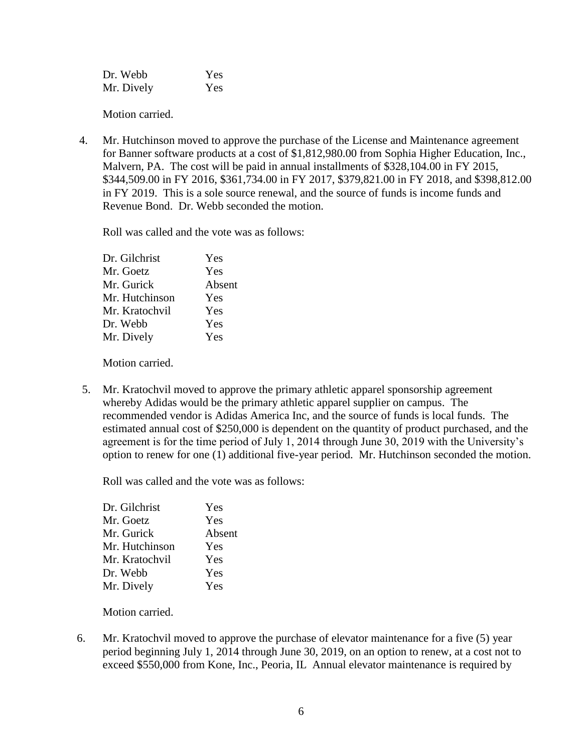| Dr. Webb   | Yes |
|------------|-----|
| Mr. Dively | Yes |

4. Mr. Hutchinson moved to approve the purchase of the License and Maintenance agreement for Banner software products at a cost of \$1,812,980.00 from Sophia Higher Education, Inc., Malvern, PA. The cost will be paid in annual installments of \$328,104.00 in FY 2015, \$344,509.00 in FY 2016, \$361,734.00 in FY 2017, \$379,821.00 in FY 2018, and \$398,812.00 in FY 2019. This is a sole source renewal, and the source of funds is income funds and Revenue Bond. Dr. Webb seconded the motion.

Roll was called and the vote was as follows:

| Yes    |
|--------|
| Yes    |
| Absent |
| Yes    |
| Yes    |
| Yes    |
| Yes    |
|        |

Motion carried.

5. Mr. Kratochvil moved to approve the primary athletic apparel sponsorship agreement whereby Adidas would be the primary athletic apparel supplier on campus. The recommended vendor is Adidas America Inc, and the source of funds is local funds. The estimated annual cost of \$250,000 is dependent on the quantity of product purchased, and the agreement is for the time period of July 1, 2014 through June 30, 2019 with the University's option to renew for one (1) additional five-year period. Mr. Hutchinson seconded the motion.

Roll was called and the vote was as follows:

| Yes    |
|--------|
| Yes    |
| Absent |
| Yes    |
| Yes    |
| Yes    |
| Yes    |
|        |

Motion carried.

 6. Mr. Kratochvil moved to approve the purchase of elevator maintenance for a five (5) year period beginning July 1, 2014 through June 30, 2019, on an option to renew, at a cost not to exceed \$550,000 from Kone, Inc., Peoria, IL Annual elevator maintenance is required by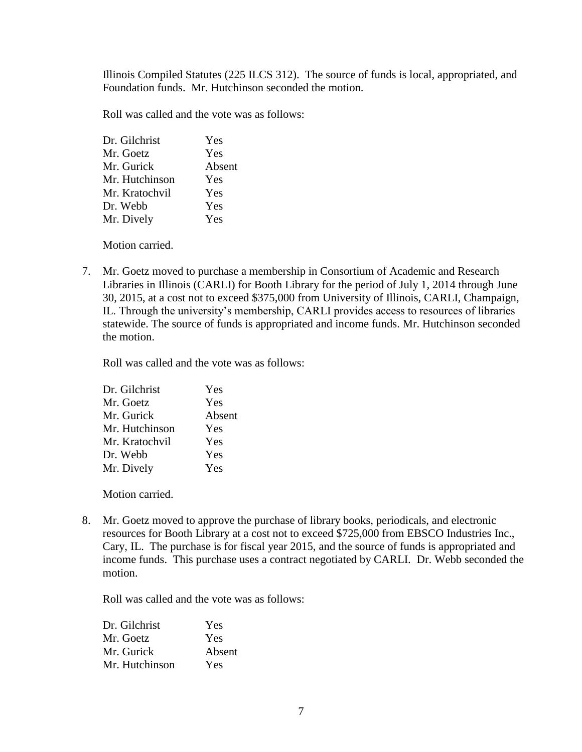Illinois Compiled Statutes (225 ILCS 312). The source of funds is local, appropriated, and Foundation funds. Mr. Hutchinson seconded the motion.

Roll was called and the vote was as follows:

| Dr. Gilchrist  | Yes    |
|----------------|--------|
| Mr. Goetz      | Yes    |
| Mr. Gurick     | Absent |
| Mr. Hutchinson | Yes    |
| Mr. Kratochvil | Yes    |
| Dr. Webb       | Yes    |
| Mr. Dively     | Yes    |
|                |        |

Motion carried.

7. Mr. Goetz moved to purchase a membership in Consortium of Academic and Research Libraries in Illinois (CARLI) for Booth Library for the period of July 1, 2014 through June 30, 2015, at a cost not to exceed \$375,000 from University of Illinois, CARLI, Champaign, IL. Through the university's membership, CARLI provides access to resources of libraries statewide. The source of funds is appropriated and income funds. Mr. Hutchinson seconded the motion.

Roll was called and the vote was as follows:

| Dr. Gilchrist  | Yes    |
|----------------|--------|
| Mr. Goetz      | Yes    |
| Mr. Gurick     | Absent |
| Mr. Hutchinson | Yes    |
| Mr. Kratochvil | Yes    |
| Dr. Webb       | Yes    |
| Mr. Dively     | Yes    |

Motion carried.

8. Mr. Goetz moved to approve the purchase of library books, periodicals, and electronic resources for Booth Library at a cost not to exceed \$725,000 from EBSCO Industries Inc., Cary, IL. The purchase is for fiscal year 2015, and the source of funds is appropriated and income funds. This purchase uses a contract negotiated by CARLI. Dr. Webb seconded the motion.

| Dr. Gilchrist  | Yes    |
|----------------|--------|
| Mr. Goetz      | Yes    |
| Mr. Gurick     | Absent |
| Mr. Hutchinson | Yes    |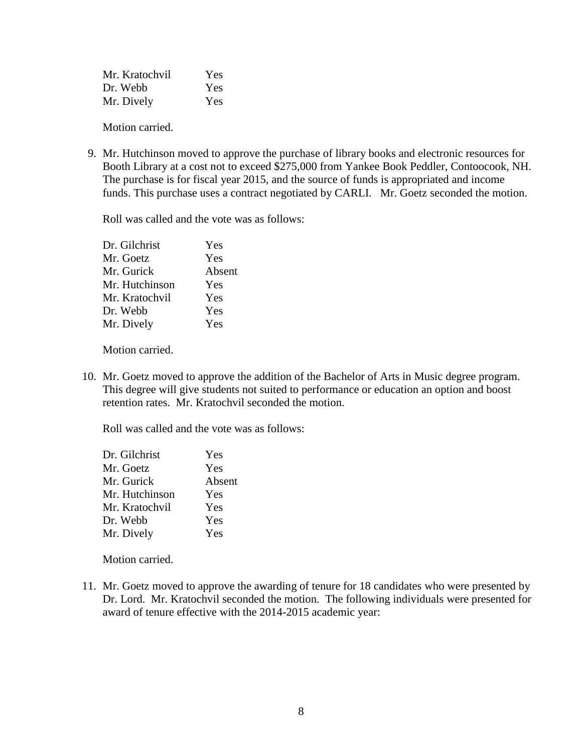| Mr. Kratochvil | Yes |
|----------------|-----|
| Dr. Webb       | Yes |
| Mr. Dively     | Yes |

 9. Mr. Hutchinson moved to approve the purchase of library books and electronic resources for Booth Library at a cost not to exceed \$275,000 from Yankee Book Peddler, Contoocook, NH. The purchase is for fiscal year 2015, and the source of funds is appropriated and income funds. This purchase uses a contract negotiated by CARLI. Mr. Goetz seconded the motion.

Roll was called and the vote was as follows:

| Dr. Gilchrist  | Yes    |
|----------------|--------|
| Mr. Goetz      | Yes    |
| Mr. Gurick     | Absent |
| Mr. Hutchinson | Yes    |
| Mr. Kratochvil | Yes    |
| Dr. Webb       | Yes    |
| Mr. Dively     | Yes    |
|                |        |

Motion carried.

10. Mr. Goetz moved to approve the addition of the Bachelor of Arts in Music degree program. This degree will give students not suited to performance or education an option and boost retention rates. Mr. Kratochvil seconded the motion.

Roll was called and the vote was as follows:

| Dr. Gilchrist  | Yes    |
|----------------|--------|
| Mr. Goetz      | Yes    |
| Mr. Gurick     | Absent |
| Mr. Hutchinson | Yes    |
| Mr. Kratochvil | Yes    |
| Dr. Webb       | Yes    |
| Mr. Dively     | Yes    |

Motion carried.

11. Mr. Goetz moved to approve the awarding of tenure for 18 candidates who were presented by Dr. Lord. Mr. Kratochvil seconded the motion. The following individuals were presented for award of tenure effective with the 2014-2015 academic year: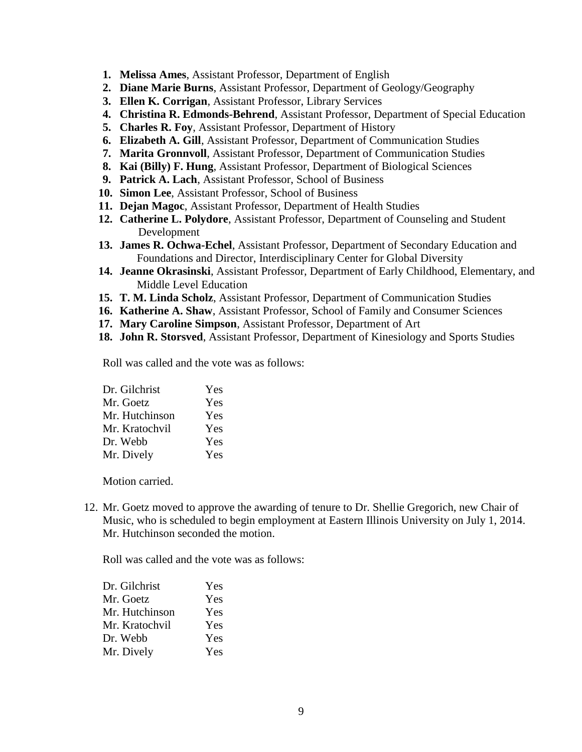- **1. Melissa Ames**, Assistant Professor, Department of English
- **2. Diane Marie Burns**, Assistant Professor, Department of Geology/Geography
- **3. Ellen K. Corrigan**, Assistant Professor, Library Services
- **4. Christina R. Edmonds-Behrend**, Assistant Professor, Department of Special Education
- **5. Charles R. Foy**, Assistant Professor, Department of History
- **6. Elizabeth A. Gill**, Assistant Professor, Department of Communication Studies
- **7. Marita Gronnvoll**, Assistant Professor, Department of Communication Studies
- **8. Kai (Billy) F. Hung**, Assistant Professor, Department of Biological Sciences
- **9. Patrick A. Lach**, Assistant Professor, School of Business
- **10. Simon Lee**, Assistant Professor, School of Business
- **11. Dejan Magoc**, Assistant Professor, Department of Health Studies
- **12. Catherine L. Polydore**, Assistant Professor, Department of Counseling and Student Development
- **13. James R. Ochwa-Echel**, Assistant Professor, Department of Secondary Education and Foundations and Director, Interdisciplinary Center for Global Diversity
- **14. Jeanne Okrasinski**, Assistant Professor, Department of Early Childhood, Elementary, and Middle Level Education
- **15. T. M. Linda Scholz**, Assistant Professor, Department of Communication Studies
- **16. Katherine A. Shaw**, Assistant Professor, School of Family and Consumer Sciences
- **17. Mary Caroline Simpson**, Assistant Professor, Department of Art
- **18. John R. Storsved**, Assistant Professor, Department of Kinesiology and Sports Studies

Roll was called and the vote was as follows:

| Dr. Gilchrist  | Yes |
|----------------|-----|
| Mr. Goetz      | Yes |
| Mr. Hutchinson | Yes |
| Mr. Kratochvil | Yes |
| Dr. Webb       | Yes |
| Mr. Dively     | Yes |

Motion carried.

12. Mr. Goetz moved to approve the awarding of tenure to Dr. Shellie Gregorich, new Chair of Music, who is scheduled to begin employment at Eastern Illinois University on July 1, 2014. Mr. Hutchinson seconded the motion.

| Dr. Gilchrist  | Yes |
|----------------|-----|
| Mr. Goetz      | Yes |
| Mr. Hutchinson | Yes |
| Mr. Kratochvil | Yes |
| Dr. Webb       | Yes |
| Mr. Dively     | Yes |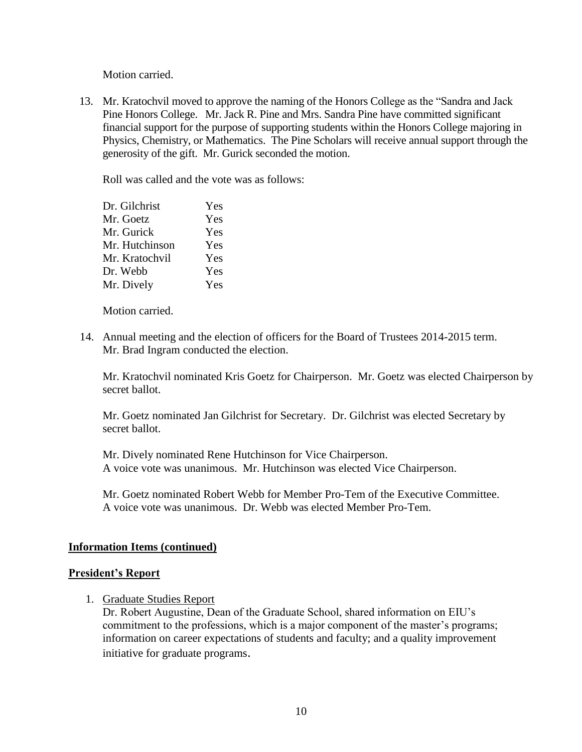13. Mr. Kratochvil moved to approve the naming of the Honors College as the "Sandra and Jack Pine Honors College. Mr. Jack R. Pine and Mrs. Sandra Pine have committed significant financial support for the purpose of supporting students within the Honors College majoring in Physics, Chemistry, or Mathematics. The Pine Scholars will receive annual support through the generosity of the gift. Mr. Gurick seconded the motion.

Roll was called and the vote was as follows:

| Dr. Gilchrist  | Yes |
|----------------|-----|
| Mr. Goetz      | Yes |
| Mr. Gurick     | Yes |
| Mr. Hutchinson | Yes |
| Mr. Kratochvil | Yes |
| Dr. Webb       | Yes |
| Mr. Dively     | Yes |

Motion carried.

 14. Annual meeting and the election of officers for the Board of Trustees 2014-2015 term. Mr. Brad Ingram conducted the election.

Mr. Kratochvil nominated Kris Goetz for Chairperson. Mr. Goetz was elected Chairperson by secret ballot.

Mr. Goetz nominated Jan Gilchrist for Secretary. Dr. Gilchrist was elected Secretary by secret ballot.

Mr. Dively nominated Rene Hutchinson for Vice Chairperson. A voice vote was unanimous. Mr. Hutchinson was elected Vice Chairperson.

Mr. Goetz nominated Robert Webb for Member Pro-Tem of the Executive Committee. A voice vote was unanimous. Dr. Webb was elected Member Pro-Tem.

## **Information Items (continued)**

#### **President's Report**

1. Graduate Studies Report

Dr. Robert Augustine, Dean of the Graduate School, shared information on EIU's commitment to the professions, which is a major component of the master's programs; information on career expectations of students and faculty; and a quality improvement initiative for graduate programs.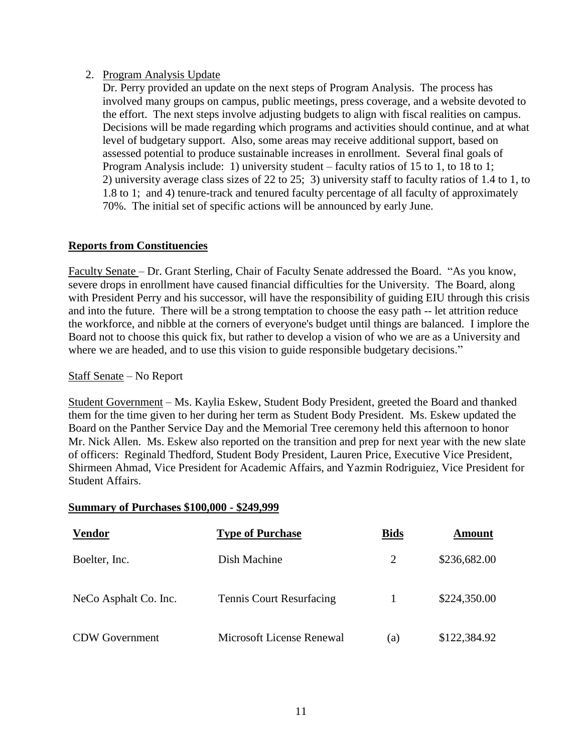## 2. Program Analysis Update

Dr. Perry provided an update on the next steps of Program Analysis. The process has involved many groups on campus, public meetings, press coverage, and a website devoted to the effort. The next steps involve adjusting budgets to align with fiscal realities on campus. Decisions will be made regarding which programs and activities should continue, and at what level of budgetary support. Also, some areas may receive additional support, based on assessed potential to produce sustainable increases in enrollment. Several final goals of Program Analysis include: 1) university student – faculty ratios of 15 to 1, to 18 to 1; 2) university average class sizes of 22 to 25; 3) university staff to faculty ratios of 1.4 to 1, to 1.8 to 1; and 4) tenure-track and tenured faculty percentage of all faculty of approximately 70%. The initial set of specific actions will be announced by early June.

## **Reports from Constituencies**

Faculty Senate – Dr. Grant Sterling, Chair of Faculty Senate addressed the Board. "As you know, severe drops in enrollment have caused financial difficulties for the University. The Board, along with President Perry and his successor, will have the responsibility of guiding EIU through this crisis and into the future. There will be a strong temptation to choose the easy path -- let attrition reduce the workforce, and nibble at the corners of everyone's budget until things are balanced. I implore the Board not to choose this quick fix, but rather to develop a vision of who we are as a University and where we are headed, and to use this vision to guide responsible budgetary decisions."

## Staff Senate – No Report

Student Government – Ms. Kaylia Eskew, Student Body President, greeted the Board and thanked them for the time given to her during her term as Student Body President. Ms. Eskew updated the Board on the Panther Service Day and the Memorial Tree ceremony held this afternoon to honor Mr. Nick Allen. Ms. Eskew also reported on the transition and prep for next year with the new slate of officers: Reginald Thedford, Student Body President, Lauren Price, Executive Vice President, Shirmeen Ahmad, Vice President for Academic Affairs, and Yazmin Rodriguiez, Vice President for Student Affairs.

#### **Summary of Purchases \$100,000 - \$249,999**

| <b>Vendor</b>         | <b>Type of Purchase</b>         | <b>Bids</b> | Amount       |
|-----------------------|---------------------------------|-------------|--------------|
| Boelter, Inc.         | Dish Machine                    | 2           | \$236,682.00 |
| NeCo Asphalt Co. Inc. | <b>Tennis Court Resurfacing</b> |             | \$224,350.00 |
| <b>CDW</b> Government | Microsoft License Renewal       | (a)         | \$122,384.92 |